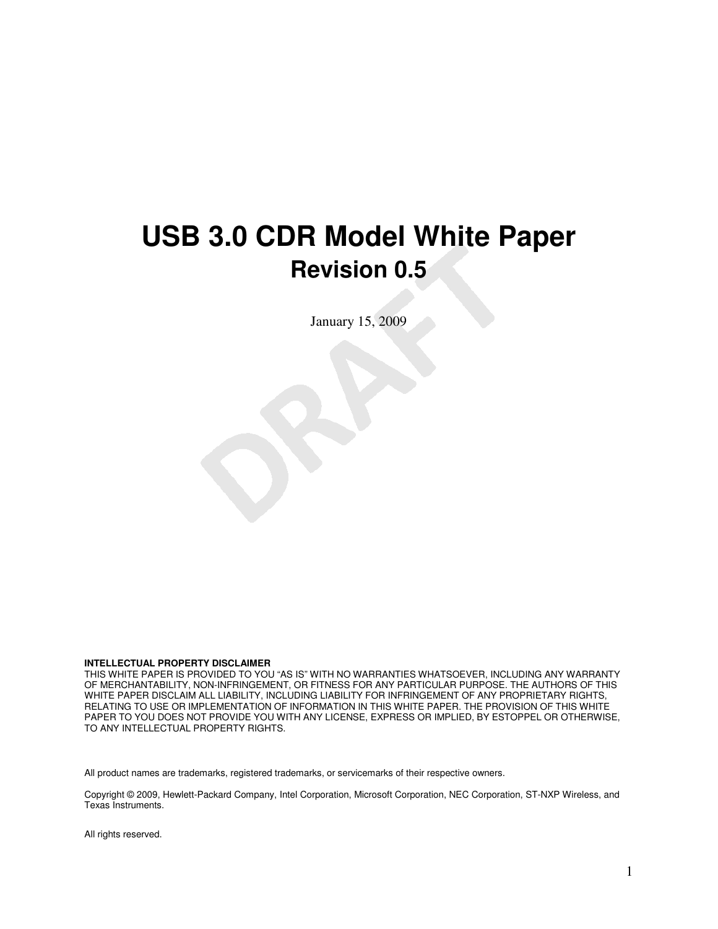# **USB 3.0 CDR Model White Paper Revision 0.5**

January 15, 2009

#### **INTELLECTUAL PROPERTY DISCLAIMER**

THIS WHITE PAPER IS PROVIDED TO YOU "AS IS" WITH NO WARRANTIES WHATSOEVER, INCLUDING ANY WARRANTY OF MERCHANTABILITY, NON-INFRINGEMENT, OR FITNESS FOR ANY PARTICULAR PURPOSE. THE AUTHORS OF THIS WHITE PAPER DISCLAIM ALL LIABILITY, INCLUDING LIABILITY FOR INFRINGEMENT OF ANY PROPRIETARY RIGHTS, RELATING TO USE OR IMPLEMENTATION OF INFORMATION IN THIS WHITE PAPER. THE PROVISION OF THIS WHITE PAPER TO YOU DOES NOT PROVIDE YOU WITH ANY LICENSE, EXPRESS OR IMPLIED, BY ESTOPPEL OR OTHERWISE, TO ANY INTELLECTUAL PROPERTY RIGHTS.

All product names are trademarks, registered trademarks, or servicemarks of their respective owners.

Copyright © 2009, Hewlett-Packard Company, Intel Corporation, Microsoft Corporation, NEC Corporation, ST-NXP Wireless, and Texas Instruments.

All rights reserved.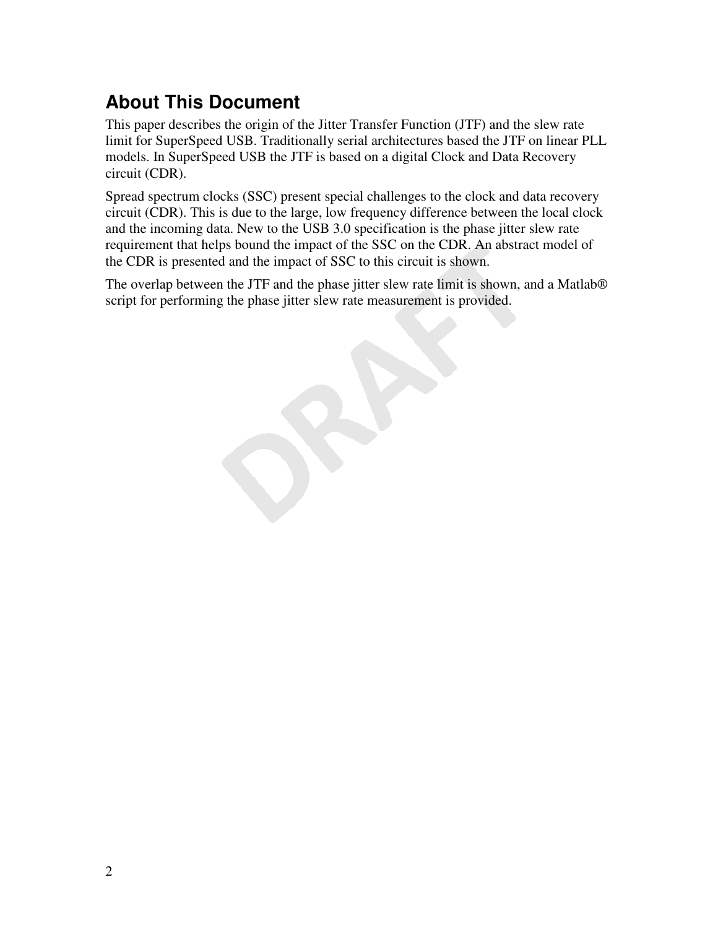### **About This Document**

This paper describes the origin of the Jitter Transfer Function (JTF) and the slew rate limit for SuperSpeed USB. Traditionally serial architectures based the JTF on linear PLL models. In SuperSpeed USB the JTF is based on a digital Clock and Data Recovery circuit (CDR).

Spread spectrum clocks (SSC) present special challenges to the clock and data recovery circuit (CDR). This is due to the large, low frequency difference between the local clock and the incoming data. New to the USB 3.0 specification is the phase jitter slew rate requirement that helps bound the impact of the SSC on the CDR. An abstract model of the CDR is presented and the impact of SSC to this circuit is shown.

The overlap between the JTF and the phase jitter slew rate limit is shown, and a Matlab® script for performing the phase jitter slew rate measurement is provided.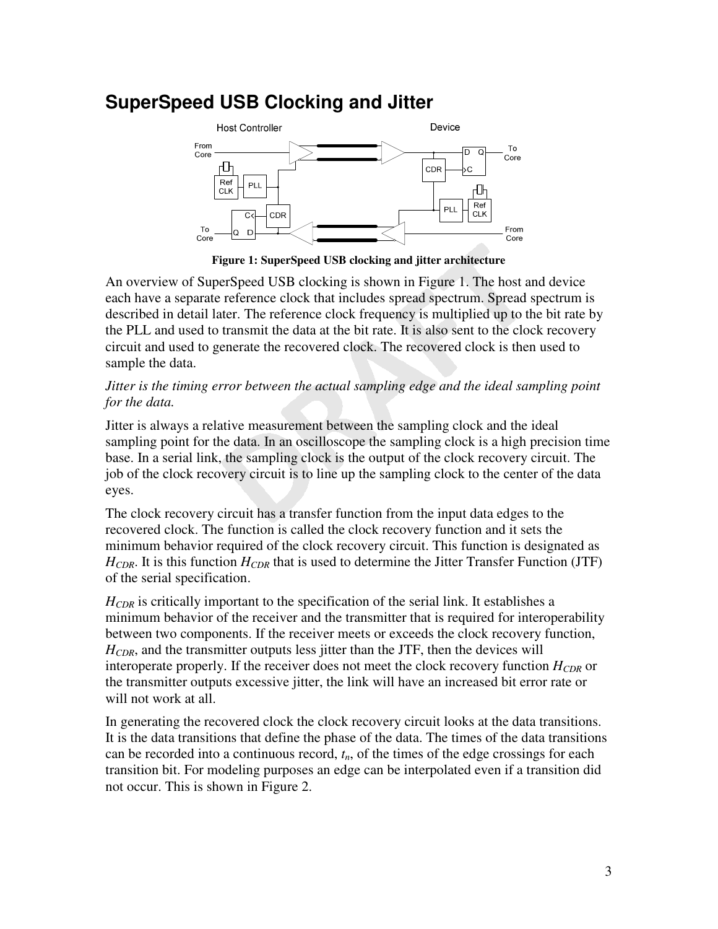### **SuperSpeed USB Clocking and Jitter**



**Figure 1: SuperSpeed USB clocking and jitter architecture** 

An overview of SuperSpeed USB clocking is shown in Figure 1. The host and device each have a separate reference clock that includes spread spectrum. Spread spectrum is described in detail later. The reference clock frequency is multiplied up to the bit rate by the PLL and used to transmit the data at the bit rate. It is also sent to the clock recovery circuit and used to generate the recovered clock. The recovered clock is then used to sample the data.

#### *Jitter is the timing error between the actual sampling edge and the ideal sampling point for the data.*

Jitter is always a relative measurement between the sampling clock and the ideal sampling point for the data. In an oscilloscope the sampling clock is a high precision time base. In a serial link, the sampling clock is the output of the clock recovery circuit. The job of the clock recovery circuit is to line up the sampling clock to the center of the data eyes.

The clock recovery circuit has a transfer function from the input data edges to the recovered clock. The function is called the clock recovery function and it sets the minimum behavior required of the clock recovery circuit. This function is designated as *HCDR*. It is this function *HCDR* that is used to determine the Jitter Transfer Function (JTF) of the serial specification.

*HCDR* is critically important to the specification of the serial link. It establishes a minimum behavior of the receiver and the transmitter that is required for interoperability between two components. If the receiver meets or exceeds the clock recovery function, *HCDR*, and the transmitter outputs less jitter than the JTF, then the devices will interoperate properly. If the receiver does not meet the clock recovery function *HCDR* or the transmitter outputs excessive jitter, the link will have an increased bit error rate or will not work at all.

In generating the recovered clock the clock recovery circuit looks at the data transitions. It is the data transitions that define the phase of the data. The times of the data transitions can be recorded into a continuous record, *tn*, of the times of the edge crossings for each transition bit. For modeling purposes an edge can be interpolated even if a transition did not occur. This is shown in Figure 2.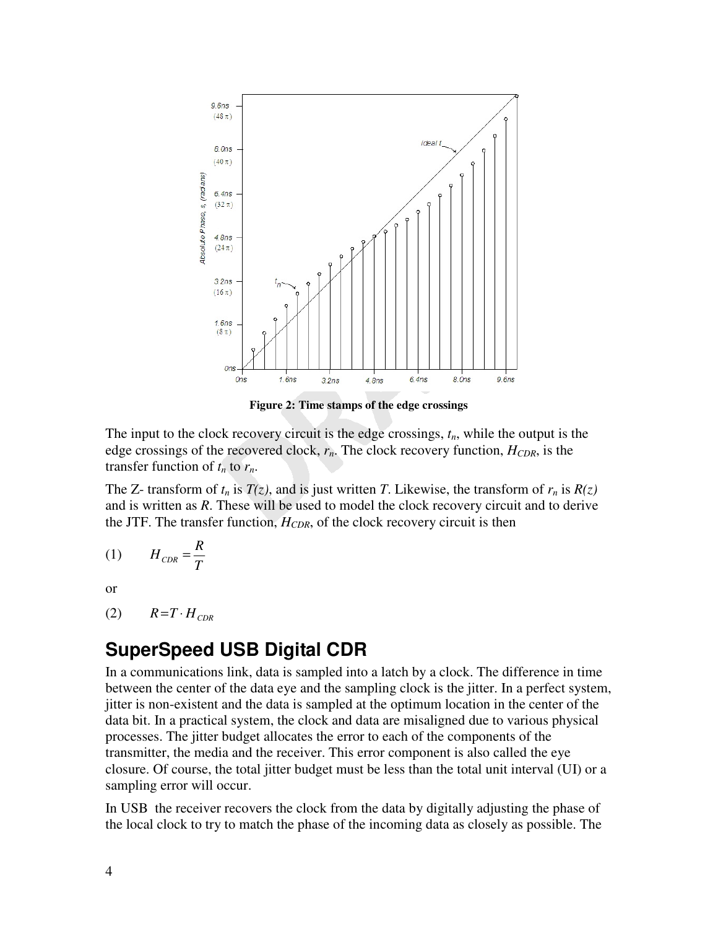

**Figure 2: Time stamps of the edge crossings** 

The input to the clock recovery circuit is the edge crossings, *tn*, while the output is the edge crossings of the recovered clock, *rn*. The clock recovery function, *HCDR*, is the transfer function of  $t_n$  to  $r_n$ .

The Z- transform of  $t_n$  is  $T(z)$ , and is just written *T*. Likewise, the transform of  $r_n$  is  $R(z)$ and is written as *R*. These will be used to model the clock recovery circuit and to derive the JTF. The transfer function, *HCDR*, of the clock recovery circuit is then

$$
(1) \tH_{CDR} = \frac{R}{T}
$$

or

 $(R)$   $R = T \cdot H_{CDR}$ 

### **SuperSpeed USB Digital CDR**

In a communications link, data is sampled into a latch by a clock. The difference in time between the center of the data eye and the sampling clock is the jitter. In a perfect system, jitter is non-existent and the data is sampled at the optimum location in the center of the data bit. In a practical system, the clock and data are misaligned due to various physical processes. The jitter budget allocates the error to each of the components of the transmitter, the media and the receiver. This error component is also called the eye closure. Of course, the total jitter budget must be less than the total unit interval (UI) or a sampling error will occur.

In USB the receiver recovers the clock from the data by digitally adjusting the phase of the local clock to try to match the phase of the incoming data as closely as possible. The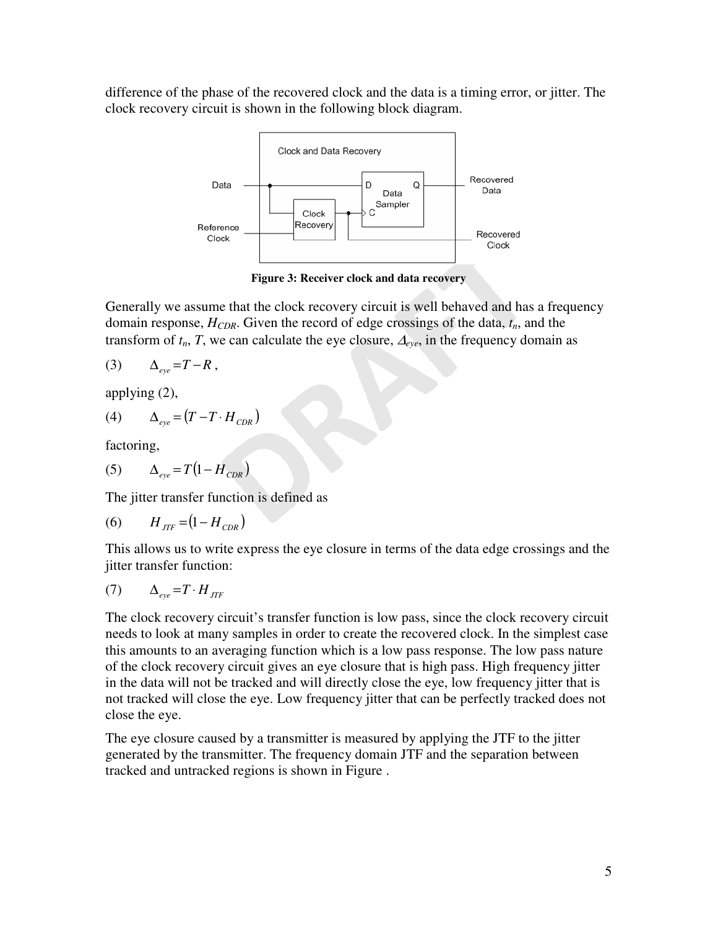difference of the phase of the recovered clock and the data is a timing error, or jitter. The clock recovery circuit is shown in the following block diagram.



**Figure 3: Receiver clock and data recovery** 

Generally we assume that the clock recovery circuit is well behaved and has a frequency domain response, *HCDR*. Given the record of edge crossings of the data, *tn*, and the transform of  $t_n$ , *T*, we can calculate the eye closure,  $\Delta_{eye}$ , in the frequency domain as

$$
(3) \qquad \Delta_{eye} = T - R \,,
$$

applying (2),

$$
(4) \qquad \Delta_{eye} = (T - T \cdot H_{CDR})
$$

factoring,

$$
(5) \qquad \Delta_{eye} = T\left(1 - H_{CDR}\right)
$$

The jitter transfer function is defined as

(6) 
$$
H_{JTF} = (1 - H_{CDR})
$$

This allows us to write express the eye closure in terms of the data edge crossings and the jitter transfer function:

$$
(7) \qquad \Delta_{eye} = T \cdot H_{JTF}
$$

The clock recovery circuit's transfer function is low pass, since the clock recovery circuit needs to look at many samples in order to create the recovered clock. In the simplest case this amounts to an averaging function which is a low pass response. The low pass nature of the clock recovery circuit gives an eye closure that is high pass. High frequency jitter in the data will not be tracked and will directly close the eye, low frequency jitter that is not tracked will close the eye. Low frequency jitter that can be perfectly tracked does not close the eye.

The eye closure caused by a transmitter is measured by applying the JTF to the jitter generated by the transmitter. The frequency domain JTF and the separation between tracked and untracked regions is shown in Figure .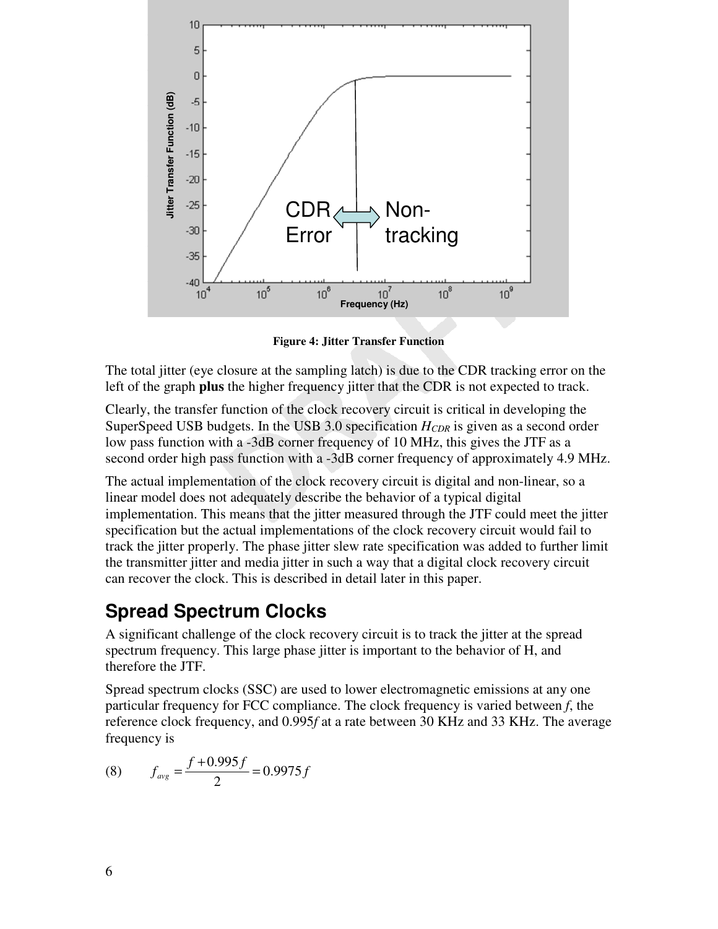

**Figure 4: Jitter Transfer Function** 

The total jitter (eye closure at the sampling latch) is due to the CDR tracking error on the left of the graph **plus** the higher frequency jitter that the CDR is not expected to track.

Clearly, the transfer function of the clock recovery circuit is critical in developing the SuperSpeed USB budgets. In the USB 3.0 specification *HCDR* is given as a second order low pass function with a -3dB corner frequency of 10 MHz, this gives the JTF as a second order high pass function with a -3dB corner frequency of approximately 4.9 MHz.

The actual implementation of the clock recovery circuit is digital and non-linear, so a linear model does not adequately describe the behavior of a typical digital implementation. This means that the jitter measured through the JTF could meet the jitter specification but the actual implementations of the clock recovery circuit would fail to track the jitter properly. The phase jitter slew rate specification was added to further limit the transmitter jitter and media jitter in such a way that a digital clock recovery circuit can recover the clock. This is described in detail later in this paper.

### **Spread Spectrum Clocks**

A significant challenge of the clock recovery circuit is to track the jitter at the spread spectrum frequency. This large phase jitter is important to the behavior of H, and therefore the JTF.

Spread spectrum clocks (SSC) are used to lower electromagnetic emissions at any one particular frequency for FCC compliance. The clock frequency is varied between *f*, the reference clock frequency, and 0.995*f* at a rate between 30 KHz and 33 KHz. The average frequency is

(8) 
$$
f_{avg} = \frac{f + 0.995f}{2} = 0.9975f
$$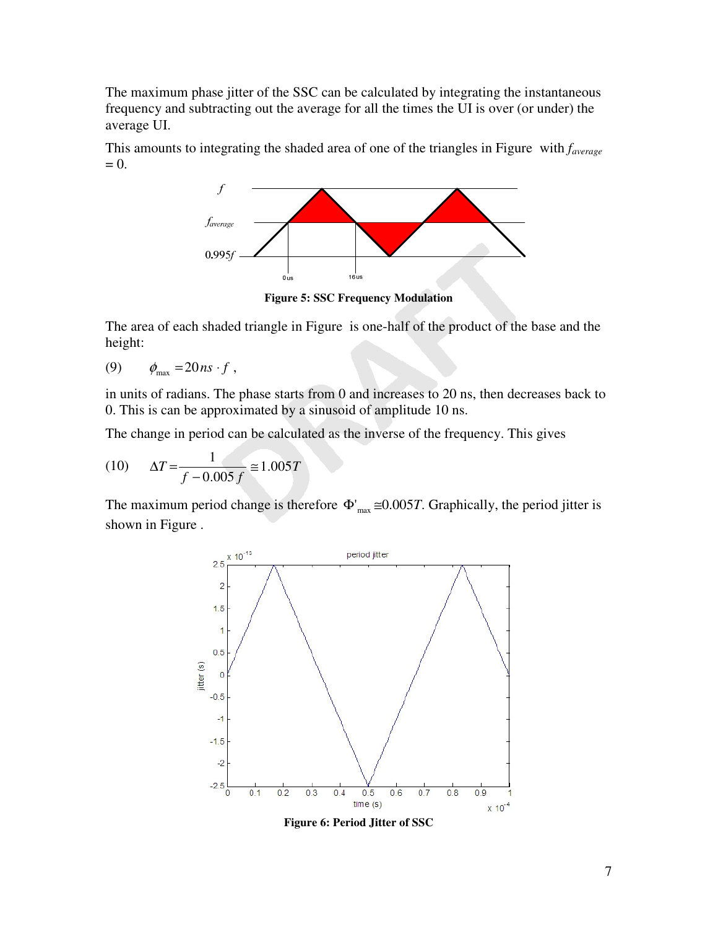The maximum phase jitter of the SSC can be calculated by integrating the instantaneous frequency and subtracting out the average for all the times the UI is over (or under) the average UI.

This amounts to integrating the shaded area of one of the triangles in Figure with *faverage*  $= 0.$ 



**Figure 5: SSC Frequency Modulation** 

The area of each shaded triangle in Figure is one-half of the product of the base and the height:

$$
(9) \qquad \phi_{\text{max}} = 20 \, ns \cdot f \,,
$$

in units of radians. The phase starts from 0 and increases to 20 ns, then decreases back to 0. This is can be approximated by a sinusoid of amplitude 10 ns.

The change in period can be calculated as the inverse of the frequency. This gives

(10) 
$$
\Delta T = \frac{1}{f - 0.005 f} \approx 1.005 T
$$

The maximum period change is therefore  $\Phi'_{\text{max}} \approx 0.005T$ . Graphically, the period jitter is shown in Figure .



**Figure 6: Period Jitter of SSC**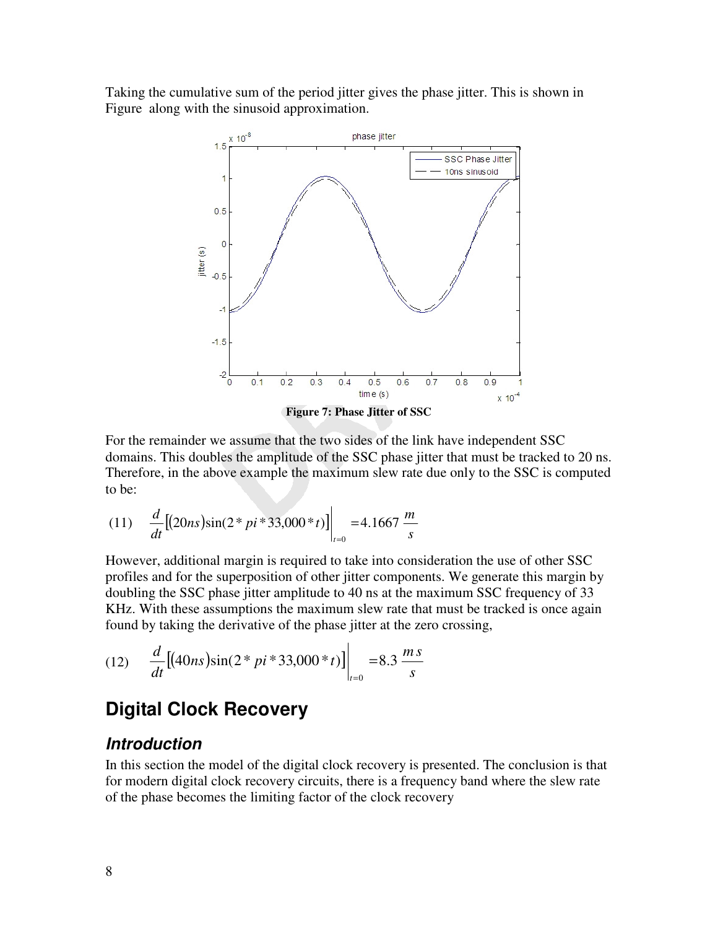Taking the cumulative sum of the period jitter gives the phase jitter. This is shown in Figure along with the sinusoid approximation.



**Figure 7: Phase Jitter of SSC** 

For the remainder we assume that the two sides of the link have independent SSC domains. This doubles the amplitude of the SSC phase jitter that must be tracked to 20 ns. Therefore, in the above example the maximum slew rate due only to the SSC is computed to be:

(11) 
$$
\frac{d}{dt} [(20ns)\sin(2*pi*33,000*t)]\Big|_{t=0} = 4.1667 \frac{m}{s}
$$

However, additional margin is required to take into consideration the use of other SSC profiles and for the superposition of other jitter components. We generate this margin by doubling the SSC phase jitter amplitude to 40 ns at the maximum SSC frequency of 33 KHz. With these assumptions the maximum slew rate that must be tracked is once again found by taking the derivative of the phase jitter at the zero crossing,

(12) 
$$
\frac{d}{dt}[(40ns)\sin(2*pi*33,000*t)]\Big|_{t=0} = 8.3 \frac{ms}{s}
$$

### **Digital Clock Recovery**

#### **Introduction**

In this section the model of the digital clock recovery is presented. The conclusion is that for modern digital clock recovery circuits, there is a frequency band where the slew rate of the phase becomes the limiting factor of the clock recovery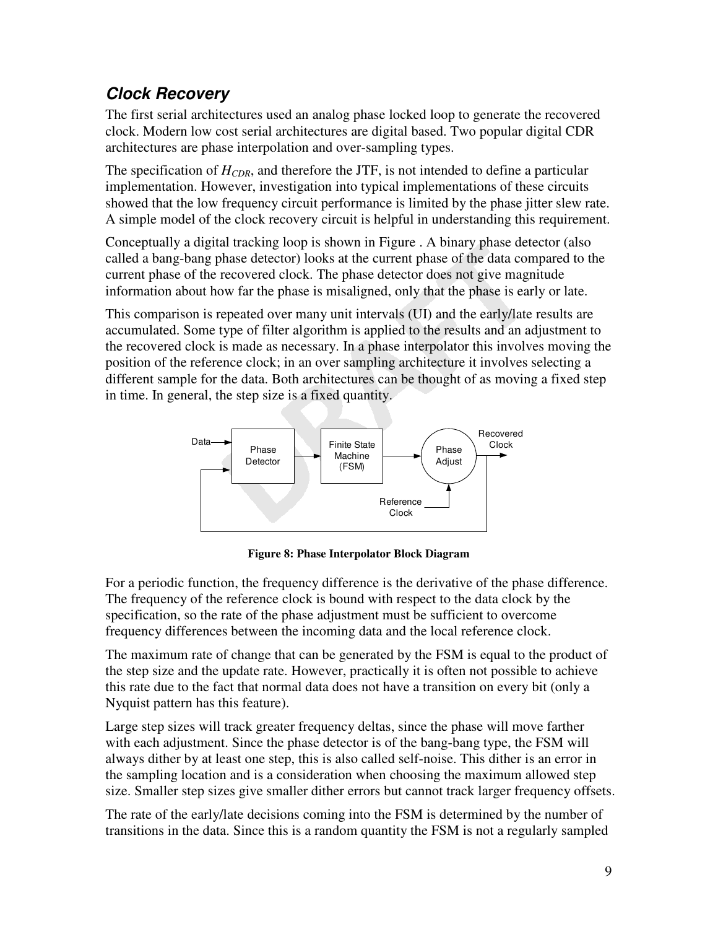### **Clock Recovery**

The first serial architectures used an analog phase locked loop to generate the recovered clock. Modern low cost serial architectures are digital based. Two popular digital CDR architectures are phase interpolation and over-sampling types.

The specification of *HCDR*, and therefore the JTF, is not intended to define a particular implementation. However, investigation into typical implementations of these circuits showed that the low frequency circuit performance is limited by the phase jitter slew rate. A simple model of the clock recovery circuit is helpful in understanding this requirement.

Conceptually a digital tracking loop is shown in Figure . A binary phase detector (also called a bang-bang phase detector) looks at the current phase of the data compared to the current phase of the recovered clock. The phase detector does not give magnitude information about how far the phase is misaligned, only that the phase is early or late.

This comparison is repeated over many unit intervals (UI) and the early/late results are accumulated. Some type of filter algorithm is applied to the results and an adjustment to the recovered clock is made as necessary. In a phase interpolator this involves moving the position of the reference clock; in an over sampling architecture it involves selecting a different sample for the data. Both architectures can be thought of as moving a fixed step in time. In general, the step size is a fixed quantity.



**Figure 8: Phase Interpolator Block Diagram** 

For a periodic function, the frequency difference is the derivative of the phase difference. The frequency of the reference clock is bound with respect to the data clock by the specification, so the rate of the phase adjustment must be sufficient to overcome frequency differences between the incoming data and the local reference clock.

The maximum rate of change that can be generated by the FSM is equal to the product of the step size and the update rate. However, practically it is often not possible to achieve this rate due to the fact that normal data does not have a transition on every bit (only a Nyquist pattern has this feature).

Large step sizes will track greater frequency deltas, since the phase will move farther with each adjustment. Since the phase detector is of the bang-bang type, the FSM will always dither by at least one step, this is also called self-noise. This dither is an error in the sampling location and is a consideration when choosing the maximum allowed step size. Smaller step sizes give smaller dither errors but cannot track larger frequency offsets.

The rate of the early/late decisions coming into the FSM is determined by the number of transitions in the data. Since this is a random quantity the FSM is not a regularly sampled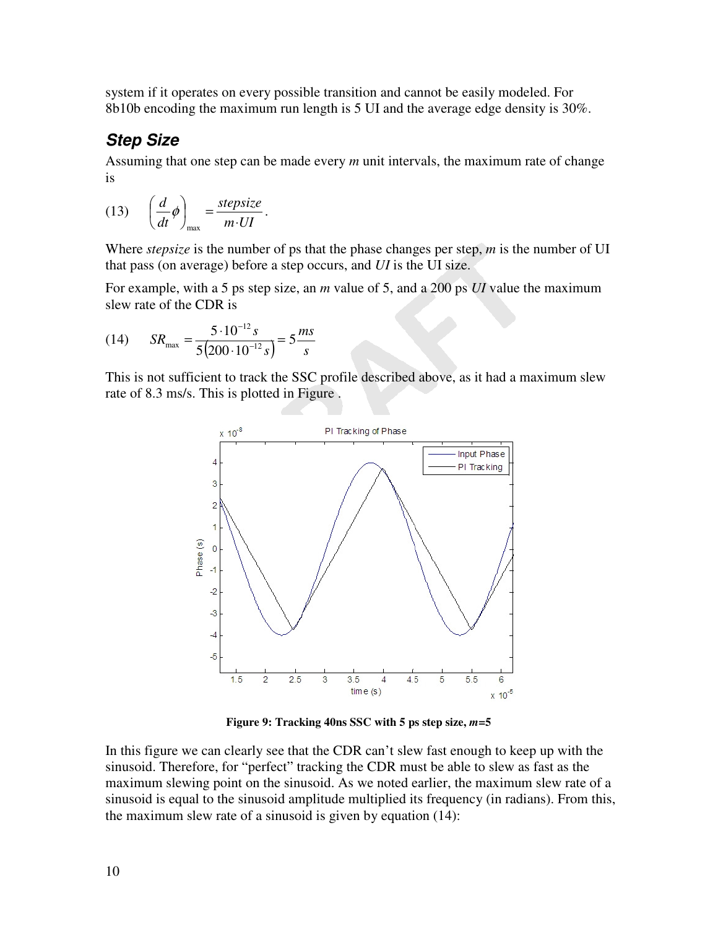system if it operates on every possible transition and cannot be easily modeled. For 8b10b encoding the maximum run length is 5 UI and the average edge density is 30%.

### **Step Size**

Assuming that one step can be made every *m* unit intervals, the maximum rate of change is

(13) 
$$
\left(\frac{d}{dt}\phi\right)_{\text{max}} = \frac{\text{stepsize}}{m \cdot UI}.
$$

Where *stepsize* is the number of ps that the phase changes per step, *m* is the number of UI that pass (on average) before a step occurs, and *UI* is the UI size.

For example, with a 5 ps step size, an *m* value of 5, and a 200 ps *UI* value the maximum slew rate of the CDR is

(14) 
$$
SR_{\text{max}} = \frac{5 \cdot 10^{-12} s}{5(200 \cdot 10^{-12} s)} = 5 \frac{ms}{s}
$$

This is not sufficient to track the SSC profile described above, as it had a maximum slew rate of 8.3 ms/s. This is plotted in Figure .



**Figure 9: Tracking 40ns SSC with 5 ps step size,** *m***=5** 

In this figure we can clearly see that the CDR can't slew fast enough to keep up with the sinusoid. Therefore, for "perfect" tracking the CDR must be able to slew as fast as the maximum slewing point on the sinusoid. As we noted earlier, the maximum slew rate of a sinusoid is equal to the sinusoid amplitude multiplied its frequency (in radians). From this, the maximum slew rate of a sinusoid is given by equation (14):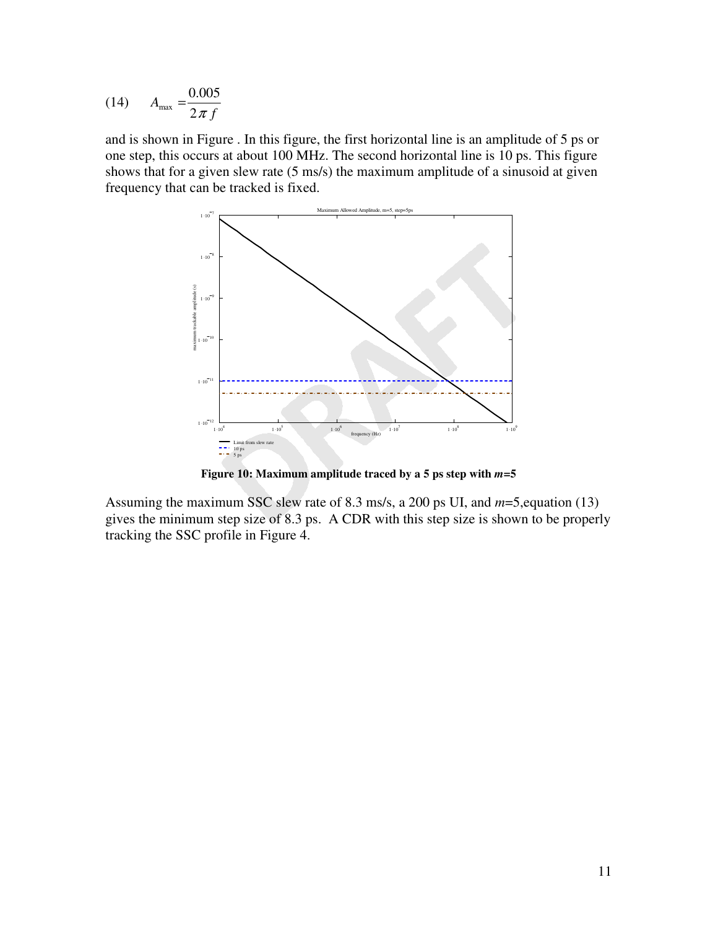(14) 
$$
A_{\text{max}} = \frac{0.005}{2 \pi f}
$$

and is shown in Figure . In this figure, the first horizontal line is an amplitude of 5 ps or one step, this occurs at about 100 MHz. The second horizontal line is 10 ps. This figure shows that for a given slew rate (5 ms/s) the maximum amplitude of a sinusoid at given frequency that can be tracked is fixed.



**Figure 10: Maximum amplitude traced by a 5 ps step with** *m***=5** 

Assuming the maximum SSC slew rate of 8.3 ms/s, a 200 ps UI, and *m*=5,equation (13) gives the minimum step size of 8.3 ps. A CDR with this step size is shown to be properly tracking the SSC profile in Figure 4.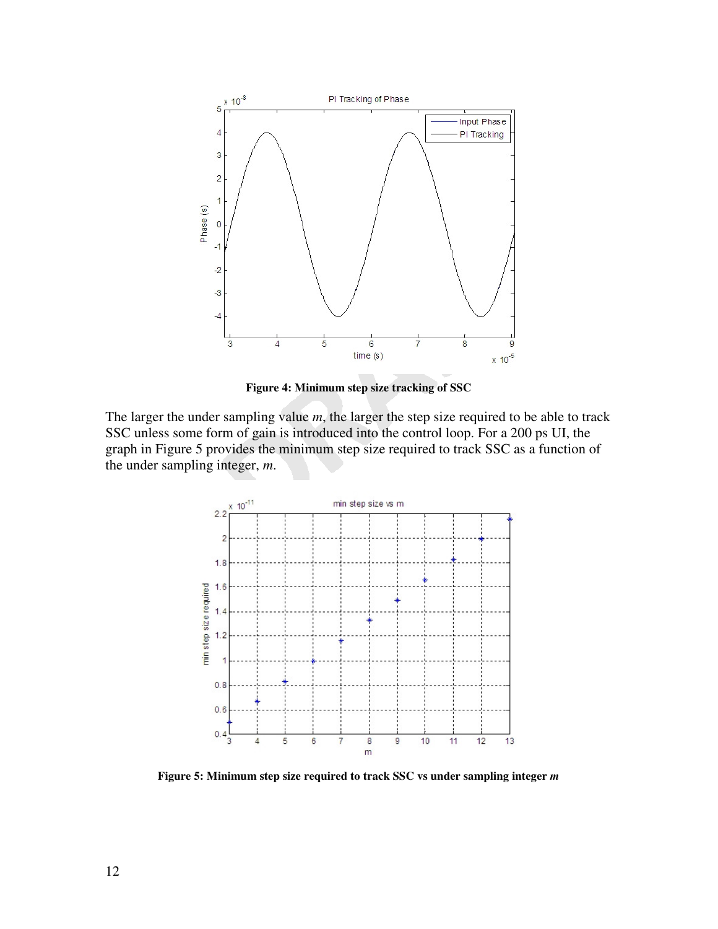

**Figure 4: Minimum step size tracking of SSC** 

The larger the under sampling value *m*, the larger the step size required to be able to track SSC unless some form of gain is introduced into the control loop. For a 200 ps UI, the graph in Figure 5 provides the minimum step size required to track SSC as a function of the under sampling integer, *m*.



**Figure 5: Minimum step size required to track SSC vs under sampling integer** *m*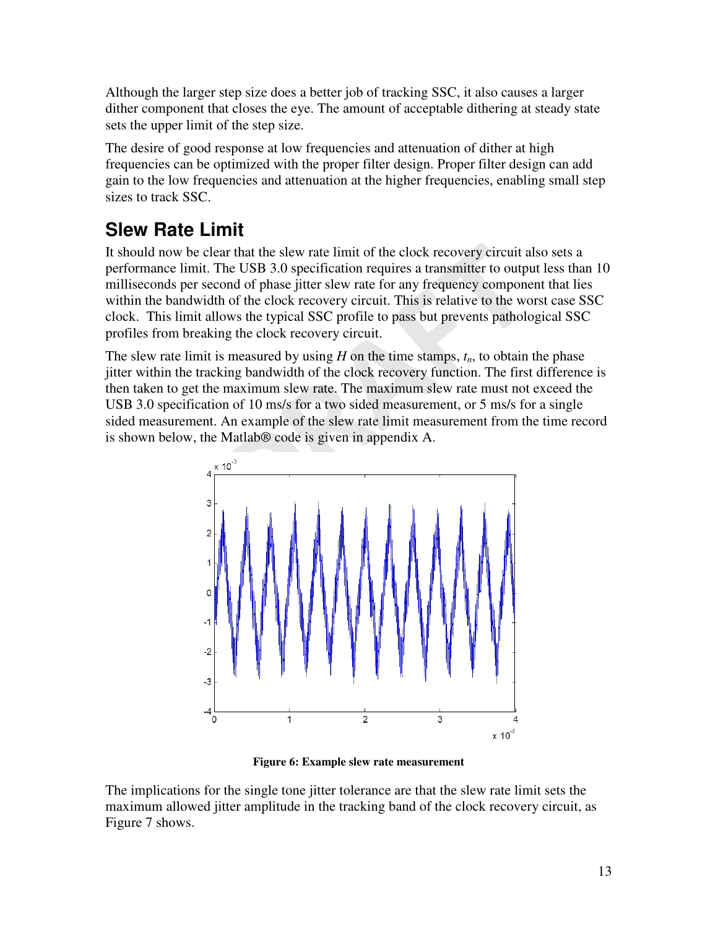Although the larger step size does a better job of tracking SSC, it also causes a larger dither component that closes the eye. The amount of acceptable dithering at steady state sets the upper limit of the step size.

The desire of good response at low frequencies and attenuation of dither at high frequencies can be optimized with the proper filter design. Proper filter design can add gain to the low frequencies and attenuation at the higher frequencies, enabling small step sizes to track SSC.

## **Slew Rate Limit**

It should now be clear that the slew rate limit of the clock recovery circuit also sets a performance limit. The USB 3.0 specification requires a transmitter to output less than 10 milliseconds per second of phase jitter slew rate for any frequency component that lies within the bandwidth of the clock recovery circuit. This is relative to the worst case SSC clock. This limit allows the typical SSC profile to pass but prevents pathological SSC profiles from breaking the clock recovery circuit.

The slew rate limit is measured by using *H* on the time stamps, *tn*, to obtain the phase jitter within the tracking bandwidth of the clock recovery function. The first difference is then taken to get the maximum slew rate. The maximum slew rate must not exceed the USB 3.0 specification of 10 ms/s for a two sided measurement, or 5 ms/s for a single sided measurement. An example of the slew rate limit measurement from the time record is shown below, the Matlab® code is given in appendix A.



**Figure 6: Example slew rate measurement** 

The implications for the single tone jitter tolerance are that the slew rate limit sets the maximum allowed jitter amplitude in the tracking band of the clock recovery circuit, as Figure 7 shows.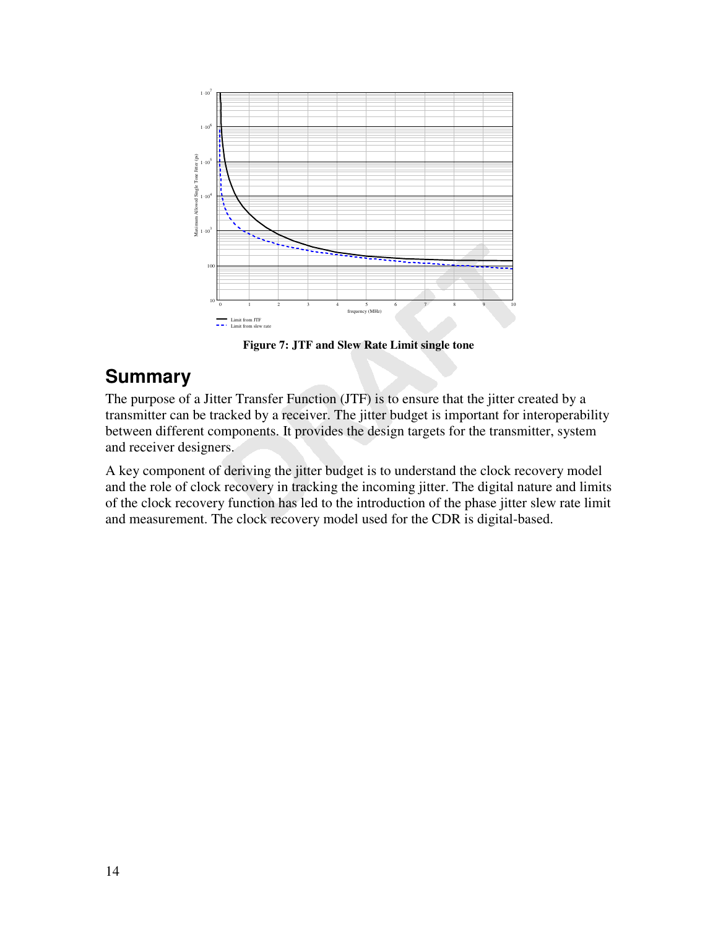

**Figure 7: JTF and Slew Rate Limit single tone** 

### **Summary**

The purpose of a Jitter Transfer Function (JTF) is to ensure that the jitter created by a transmitter can be tracked by a receiver. The jitter budget is important for interoperability between different components. It provides the design targets for the transmitter, system and receiver designers.

A key component of deriving the jitter budget is to understand the clock recovery model and the role of clock recovery in tracking the incoming jitter. The digital nature and limits of the clock recovery function has led to the introduction of the phase jitter slew rate limit and measurement. The clock recovery model used for the CDR is digital-based.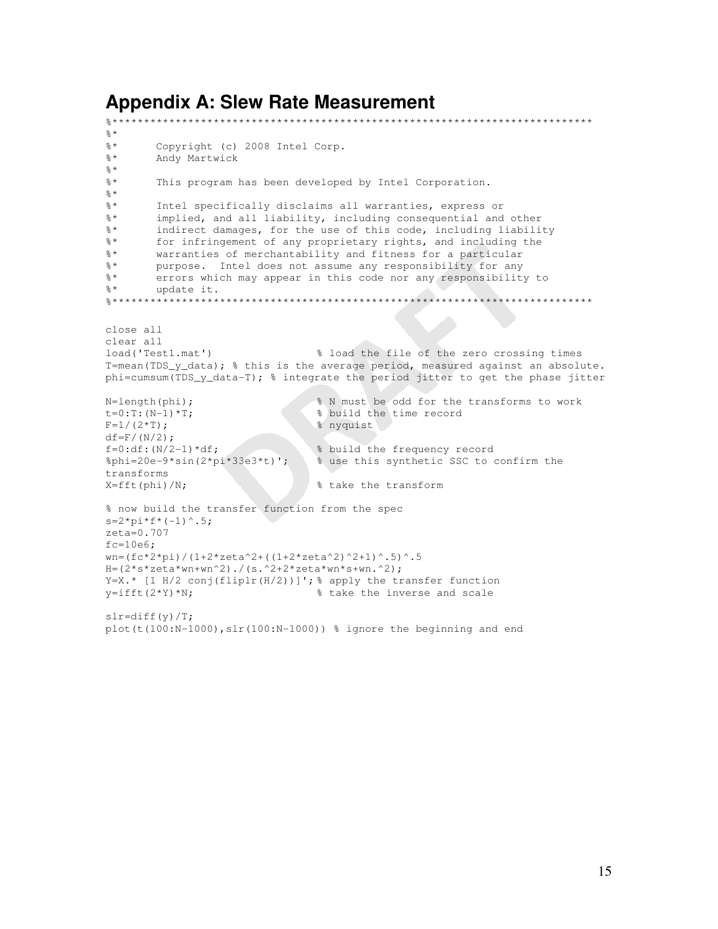#### **Appendix A: Slew Rate Measurement**

```
%**************************************************************************** 
\frac{6}{6} \star%* Copyright (c) 2008 Intel Corp. 
%* Andy Martwick 
\frac{6}{6} \star%* This program has been developed by Intel Corporation. 
\frac{6}{6} *
%* Intel specifically disclaims all warranties, express or 
%* implied, and all liability, including consequential and other 
%* indirect damages, for the use of this code, including liability 
%* for infringement of any proprietary rights, and including the 
%* warranties of merchantability and fitness for a particular 
%* purpose. Intel does not assume any responsibility for any 
%* errors which may appear in this code nor any responsibility to 
%* update it. 
%**************************************************************************** 
close all 
clear all 
load('Test1.mat') % load the file of the zero crossing times 
T=mean(TDS_y_data); % this is the average period, measured against an absolute.
phi=cumsum(TDS_y_data-T); % integrate the period jitter to get the phase jitter 
N=length(phi); \begin{array}{c} 8 \text{ N must be odd for the transforms to work} \\ t=0:T:(N-1)*T; \end{array} & build the time record
t=0:T:(N-1)*T;<br>
F=1/(2*T);<br>
\frac{8}{2} build the time record
                                   % nyquist
df=F/(N/2);
f=0:d\text{f}: (N/2-1)*df; % build the frequency record
%phi=20e-9*sin(2*pi*33e3*t)'; % use this synthetic SSC to confirm the 
transforms 
X=fft(phi)/N; % take the transform
% now build the transfer function from the spec 
s=2*pi*f*(-1)^{0}.5;zeta=0.707 
fc=10e6;wn=(fc*2*pi)/(1+2*zeta^2+( (1+2*zeta^2)^2+1)^* .5)^-.5H=(2*s*zeta*wn+wn^2)./(s.^2+2*zeta*wn*s+wn.^2);
Y=X.* [1 H/2 conj(fliplr(H/2))]'; \frac{1}{8} apply the transfer function y=ifft(2*Y)*N; \frac{1}{8} take the inverse and scale
                                   % take the inverse and scale
slr=diff(y)/T;
plot(t(100:N-1000),slr(100:N-1000)) % ignore the beginning and end
```